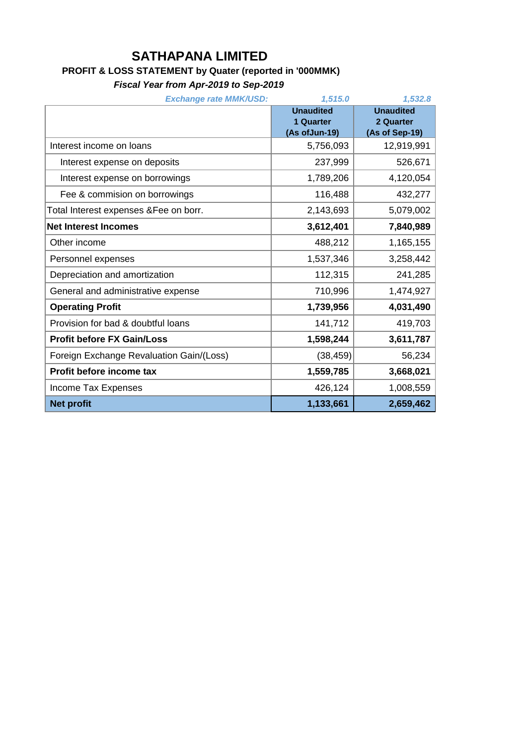## **SATHAPANA LIMITED**

## **PROFIT & LOSS STATEMENT by Quater (reported in '000MMK)**

*Fiscal Year from Apr-2019 to Sep-2019*

| <b>Exchange rate MMK/USD:</b>            | 1,515.0          | 1,532.8          |
|------------------------------------------|------------------|------------------|
|                                          | <b>Unaudited</b> | <b>Unaudited</b> |
|                                          | 1 Quarter        | 2 Quarter        |
|                                          | (As of Jun-19)   | (As of Sep-19)   |
| Interest income on loans                 | 5,756,093        | 12,919,991       |
| Interest expense on deposits             | 237,999          | 526,671          |
| Interest expense on borrowings           | 1,789,206        | 4,120,054        |
| Fee & commision on borrowings            | 116,488          | 432,277          |
| Total Interest expenses & Fee on borr.   | 2,143,693        | 5,079,002        |
| <b>Net Interest Incomes</b>              | 3,612,401        | 7,840,989        |
| Other income                             | 488,212          | 1,165,155        |
| Personnel expenses                       | 1,537,346        | 3,258,442        |
| Depreciation and amortization            | 112,315          | 241,285          |
| General and administrative expense       | 710,996          | 1,474,927        |
| <b>Operating Profit</b>                  | 1,739,956        | 4,031,490        |
| Provision for bad & doubtful loans       | 141,712          | 419,703          |
| <b>Profit before FX Gain/Loss</b>        | 1,598,244        | 3,611,787        |
| Foreign Exchange Revaluation Gain/(Loss) | (38, 459)        | 56,234           |
| Profit before income tax                 | 1,559,785        | 3,668,021        |
| Income Tax Expenses                      | 426,124          | 1,008,559        |
| <b>Net profit</b>                        | 1,133,661        | 2,659,462        |